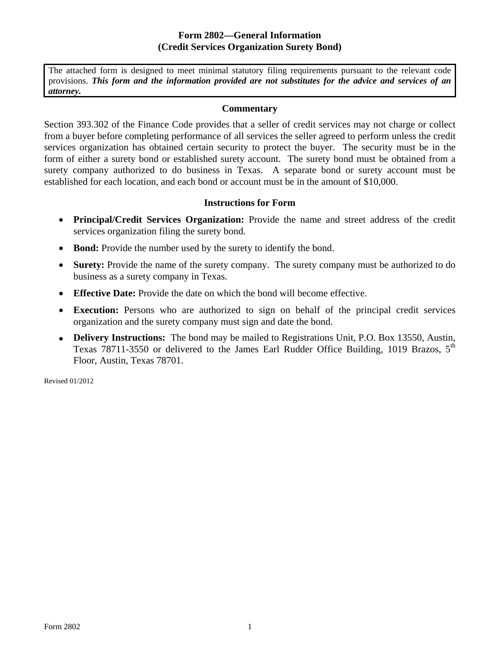## **Form 2802—General Information (Credit Services Organization Surety Bond)**

The attached form is designed to meet minimal statutory filing requirements pursuant to the relevant code provisions. *This form and the information provided are not substitutes for the advice and services of an attorney.* 

## **Commentary**

Section 393.302 of the Finance Code provides that a seller of credit services may not charge or collect from a buyer before completing performance of all services the seller agreed to perform unless the credit services organization has obtained certain security to protect the buyer. The security must be in the form of either a surety bond or established surety account. The surety bond must be obtained from a surety company authorized to do business in Texas. A separate bond or surety account must be established for each location, and each bond or account must be in the amount of \$10,000.

## **Instructions for Form**

- • **Principal/Credit Services Organization:** Provide the name and street address of the credit services organization filing the surety bond.
- **Bond:** Provide the number used by the surety to identify the bond.
- **Surety:** Provide the name of the surety company. The surety company must be authorized to do business as a surety company in Texas.
- • **Effective Date:** Provide the date on which the bond will become effective.
- **Execution:** Persons who are authorized to sign on behalf of the principal credit services organization and the surety company must sign and date the bond.
- **Delivery Instructions:** The bond may be mailed to Registrations Unit, P.O. Box 13550, Austin, Texas 78711-3550 or delivered to the James Earl Rudder Office Building, 1019 Brazos,  $5<sup>th</sup>$ Floor, Austin, Texas 78701.

Revised 01/2012